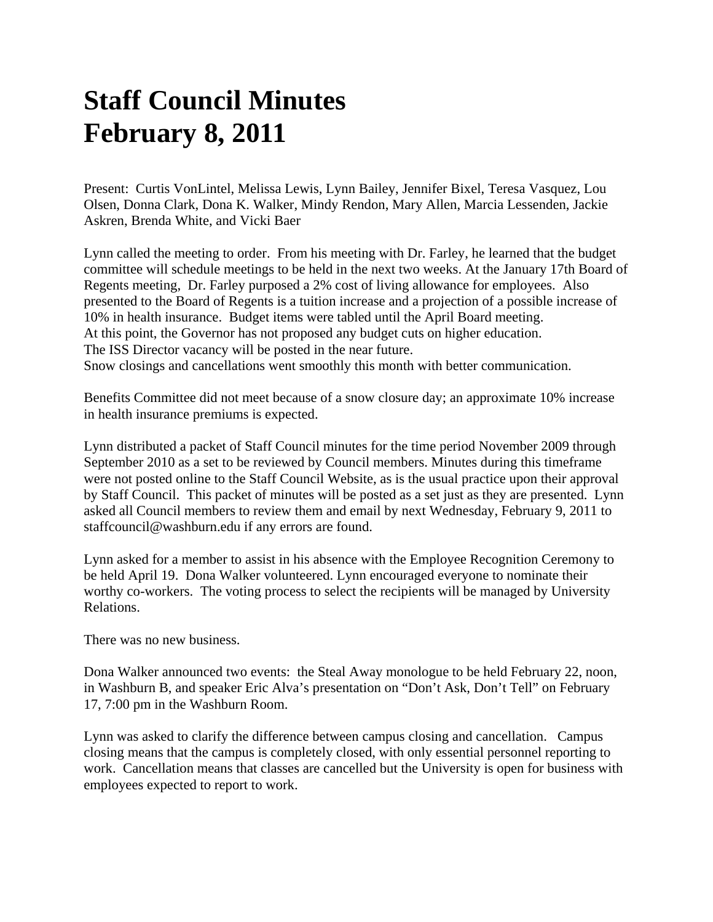## **Staff Council Minutes February 8, 2011**

Present: Curtis VonLintel, Melissa Lewis, Lynn Bailey, Jennifer Bixel, Teresa Vasquez, Lou Olsen, Donna Clark, Dona K. Walker, Mindy Rendon, Mary Allen, Marcia Lessenden, Jackie Askren, Brenda White, and Vicki Baer

Lynn called the meeting to order. From his meeting with Dr. Farley, he learned that the budget committee will schedule meetings to be held in the next two weeks. At the January 17th Board of Regents meeting, Dr. Farley purposed a 2% cost of living allowance for employees. Also presented to the Board of Regents is a tuition increase and a projection of a possible increase of 10% in health insurance. Budget items were tabled until the April Board meeting. At this point, the Governor has not proposed any budget cuts on higher education. The ISS Director vacancy will be posted in the near future. Snow closings and cancellations went smoothly this month with better communication.

Benefits Committee did not meet because of a snow closure day; an approximate 10% increase in health insurance premiums is expected.

Lynn distributed a packet of Staff Council minutes for the time period November 2009 through September 2010 as a set to be reviewed by Council members. Minutes during this timeframe were not posted online to the Staff Council Website, as is the usual practice upon their approval by Staff Council. This packet of minutes will be posted as a set just as they are presented. Lynn asked all Council members to review them and email by next Wednesday, February 9, 2011 to staffcouncil@washburn.edu if any errors are found.

Lynn asked for a member to assist in his absence with the Employee Recognition Ceremony to be held April 19. Dona Walker volunteered. Lynn encouraged everyone to nominate their worthy co-workers. The voting process to select the recipients will be managed by University Relations.

There was no new business.

Dona Walker announced two events: the Steal Away monologue to be held February 22, noon, in Washburn B, and speaker Eric Alva's presentation on "Don't Ask, Don't Tell" on February 17, 7:00 pm in the Washburn Room.

Lynn was asked to clarify the difference between campus closing and cancellation. Campus closing means that the campus is completely closed, with only essential personnel reporting to work. Cancellation means that classes are cancelled but the University is open for business with employees expected to report to work.